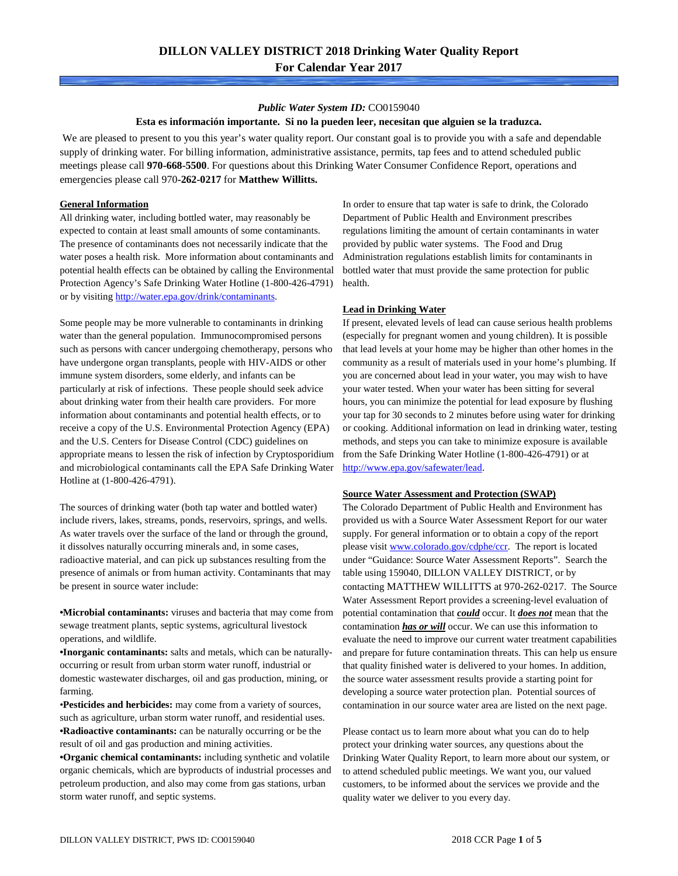### *Public Water System ID:* CO0159040

#### **Esta es información importante. Si no la pueden leer, necesitan que alguien se la traduzca.**

We are pleased to present to you this year's water quality report. Our constant goal is to provide you with a safe and dependable supply of drinking water. For billing information, administrative assistance, permits, tap fees and to attend scheduled public meetings please call **970-668-5500**. For questions about this Drinking Water Consumer Confidence Report, operations and emergencies please call 970**-262-0217** for **Matthew Willitts.**

### **General Information**

All drinking water, including bottled water, may reasonably be expected to contain at least small amounts of some contaminants. The presence of contaminants does not necessarily indicate that the water poses a health risk. More information about contaminants and potential health effects can be obtained by calling the Environmental Protection Agency's Safe Drinking Water Hotline (1-800-426-4791) or by visiting [http://water.epa.gov/drink/contaminants.](http://water.epa.gov/drink/contaminants)

Some people may be more vulnerable to contaminants in drinking water than the general population. Immunocompromised persons such as persons with cancer undergoing chemotherapy, persons who have undergone organ transplants, people with HIV-AIDS or other immune system disorders, some elderly, and infants can be particularly at risk of infections. These people should seek advice about drinking water from their health care providers. For more information about contaminants and potential health effects, or to receive a copy of the U.S. Environmental Protection Agency (EPA) and the U.S. Centers for Disease Control (CDC) guidelines on appropriate means to lessen the risk of infection by Cryptosporidium and microbiological contaminants call the EPA Safe Drinking Water Hotline at (1-800-426-4791).

The sources of drinking water (both tap water and bottled water) include rivers, lakes, streams, ponds, reservoirs, springs, and wells. As water travels over the surface of the land or through the ground, it dissolves naturally occurring minerals and, in some cases, radioactive material, and can pick up substances resulting from the presence of animals or from human activity. Contaminants that may be present in source water include:

**•Microbial contaminants:** viruses and bacteria that may come from sewage treatment plants, septic systems, agricultural livestock operations, and wildlife.

**•Inorganic contaminants:** salts and metals, which can be naturallyoccurring or result from urban storm water runoff, industrial or domestic wastewater discharges, oil and gas production, mining, or farming.

•**Pesticides and herbicides:** may come from a variety of sources, such as agriculture, urban storm water runoff, and residential uses. **•Radioactive contaminants:** can be naturally occurring or be the result of oil and gas production and mining activities.

**•Organic chemical contaminants:** including synthetic and volatile organic chemicals, which are byproducts of industrial processes and petroleum production, and also may come from gas stations, urban storm water runoff, and septic systems.

In order to ensure that tap water is safe to drink, the Colorado Department of Public Health and Environment prescribes regulations limiting the amount of certain contaminants in water provided by public water systems. The Food and Drug Administration regulations establish limits for contaminants in bottled water that must provide the same protection for public health.

#### **Lead in Drinking Water**

If present, elevated levels of lead can cause serious health problems (especially for pregnant women and young children). It is possible that lead levels at your home may be higher than other homes in the community as a result of materials used in your home's plumbing. If you are concerned about lead in your water, you may wish to have your water tested. When your water has been sitting for several hours, you can minimize the potential for lead exposure by flushing your tap for 30 seconds to 2 minutes before using water for drinking or cooking. Additional information on lead in drinking water, testing methods, and steps you can take to minimize exposure is available from the Safe Drinking Water Hotline (1-800-426-4791) or at [http://www.epa.gov/safewater/lead.](http://www.epa.gov/safewater/lead) 

#### **Source Water Assessment and Protection (SWAP)**

The Colorado Department of Public Health and Environment has provided us with a Source Water Assessment Report for our water supply. For general information or to obtain a copy of the report please visit [www.colorado.gov/cdphe/ccr.](https://www.colorado.gov/cdphe/ccr) The report is located under "Guidance: Source Water Assessment Reports". Search the table using 159040, DILLON VALLEY DISTRICT, or by contacting MATTHEW WILLITTS at 970-262-0217. The Source Water Assessment Report provides a screening-level evaluation of potential contamination that *could* occur. It *does not* mean that the contamination *has or will* occur. We can use this information to evaluate the need to improve our current water treatment capabilities and prepare for future contamination threats. This can help us ensure that quality finished water is delivered to your homes. In addition, the source water assessment results provide a starting point for developing a source water protection plan. Potential sources of contamination in our source water area are listed on the next page.

Please contact us to learn more about what you can do to help protect your drinking water sources, any questions about the Drinking Water Quality Report, to learn more about our system, or to attend scheduled public meetings. We want you, our valued customers, to be informed about the services we provide and the quality water we deliver to you every day.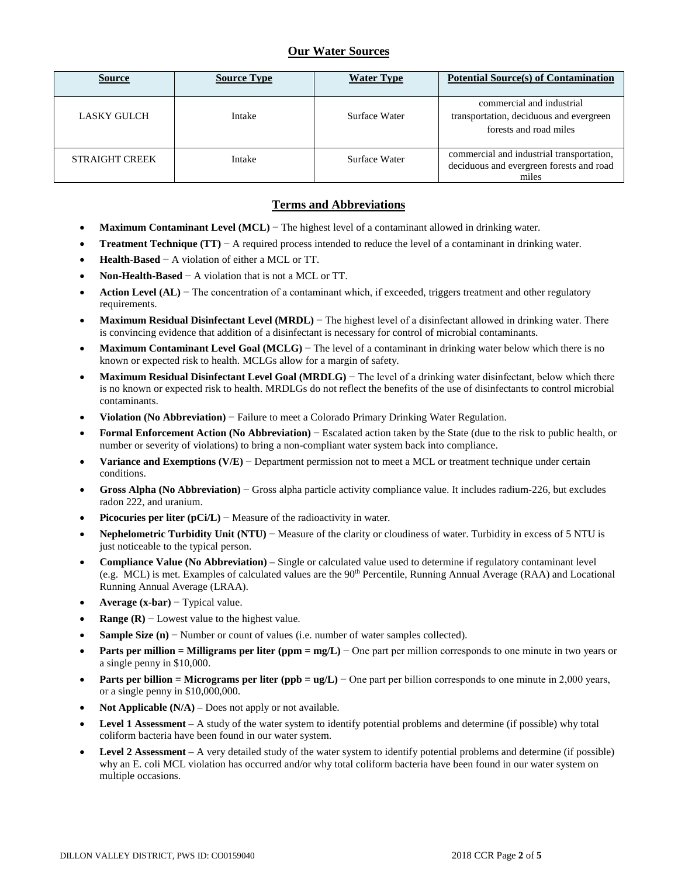# **Our Water Sources**

| <b>Source</b>         | <b>Source Type</b> | <b>Water Type</b> | <b>Potential Source(s) of Contamination</b>                                                    |
|-----------------------|--------------------|-------------------|------------------------------------------------------------------------------------------------|
| LASKY GULCH           | Intake             | Surface Water     | commercial and industrial<br>transportation, deciduous and evergreen<br>forests and road miles |
| <b>STRAIGHT CREEK</b> | Intake             | Surface Water     | commercial and industrial transportation,<br>deciduous and evergreen forests and road<br>miles |

## **Terms and Abbreviations**

- **Maximum Contaminant Level (MCL)** − The highest level of a contaminant allowed in drinking water.
- **Treatment Technique (TT)**  $A$  required process intended to reduce the level of a contaminant in drinking water.
- **Health-Based** − A violation of either a MCL or TT.
- **Non-Health-Based** − A violation that is not a MCL or TT.
- **Action Level (AL)** − The concentration of a contaminant which, if exceeded, triggers treatment and other regulatory requirements.
- **Maximum Residual Disinfectant Level (MRDL)** − The highest level of a disinfectant allowed in drinking water. There is convincing evidence that addition of a disinfectant is necessary for control of microbial contaminants.
- **Maximum Contaminant Level Goal (MCLG)** − The level of a contaminant in drinking water below which there is no known or expected risk to health. MCLGs allow for a margin of safety.
- **Maximum Residual Disinfectant Level Goal (MRDLG)** − The level of a drinking water disinfectant, below which there is no known or expected risk to health. MRDLGs do not reflect the benefits of the use of disinfectants to control microbial contaminants.
- **Violation (No Abbreviation)** − Failure to meet a Colorado Primary Drinking Water Regulation.
- **Formal Enforcement Action (No Abbreviation)** − Escalated action taken by the State (due to the risk to public health, or number or severity of violations) to bring a non-compliant water system back into compliance.
- **Variance and Exemptions (V/E)** − Department permission not to meet a MCL or treatment technique under certain conditions.
- **Gross Alpha (No Abbreviation)** − Gross alpha particle activity compliance value. It includes radium-226, but excludes radon 222, and uranium.
- **Picocuries per liter (pCi/L)** − Measure of the radioactivity in water.
- **Nephelometric Turbidity Unit (NTU)** − Measure of the clarity or cloudiness of water. Turbidity in excess of 5 NTU is just noticeable to the typical person.
- **Compliance Value (No Abbreviation)** Single or calculated value used to determine if regulatory contaminant level (e.g. MCL) is met. Examples of calculated values are the  $90<sup>th</sup>$  Percentile, Running Annual Average (RAA) and Locational Running Annual Average (LRAA).
- **Average (x-bar)** − Typical value.
- **Range (R)**  $-$  Lowest value to the highest value.
- **Sample Size (n)** − Number or count of values (i.e. number of water samples collected).
- **Parts per million = Milligrams per liter (ppm = mg/L)** − One part per million corresponds to one minute in two years or a single penny in \$10,000.
- **Parts per billion = Micrograms per liter (ppb = ug/L)** − One part per billion corresponds to one minute in 2,000 years, or a single penny in \$10,000,000.
- **Not Applicable (N/A)** Does not apply or not available.
- **Level 1 Assessment** A study of the water system to identify potential problems and determine (if possible) why total coliform bacteria have been found in our water system.
- **Level 2 Assessment** A very detailed study of the water system to identify potential problems and determine (if possible) why an E. coli MCL violation has occurred and/or why total coliform bacteria have been found in our water system on multiple occasions.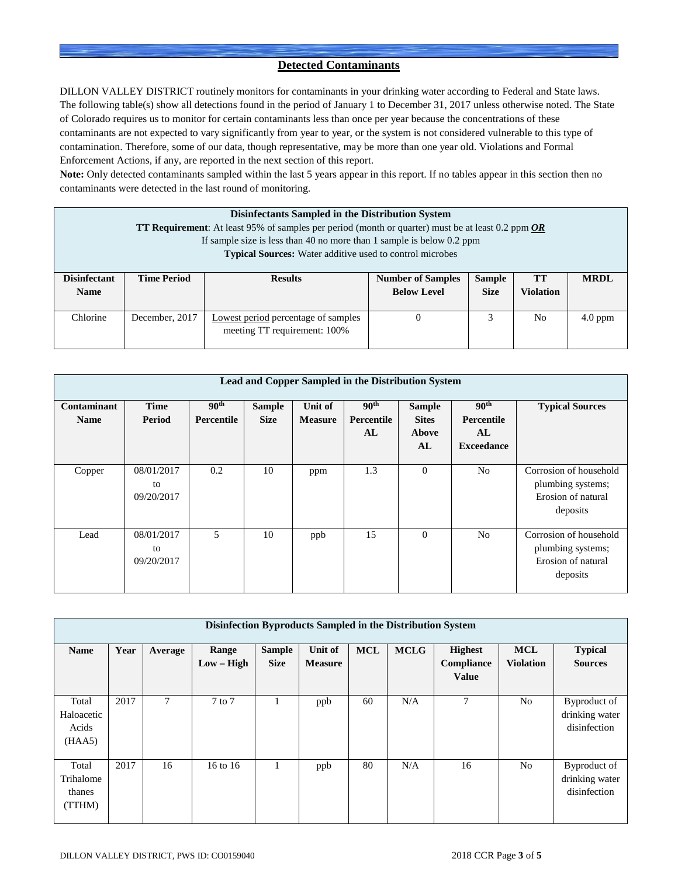## **Detected Contaminants**

DILLON VALLEY DISTRICT routinely monitors for contaminants in your drinking water according to Federal and State laws. The following table(s) show all detections found in the period of January 1 to December 31, 2017 unless otherwise noted. The State of Colorado requires us to monitor for certain contaminants less than once per year because the concentrations of these contaminants are not expected to vary significantly from year to year, or the system is not considered vulnerable to this type of contamination. Therefore, some of our data, though representative, may be more than one year old. Violations and Formal Enforcement Actions, if any, are reported in the next section of this report.

**Note:** Only detected contaminants sampled within the last 5 years appear in this report. If no tables appear in this section then no contaminants were detected in the last round of monitoring.

| <b>Disinfectants Sampled in the Distribution System</b><br><b>TT Requirement:</b> At least 95% of samples per period (month or quarter) must be at least 0.2 ppm $OR$ |                                                                       |                                                                     |                          |               |                  |             |  |  |
|-----------------------------------------------------------------------------------------------------------------------------------------------------------------------|-----------------------------------------------------------------------|---------------------------------------------------------------------|--------------------------|---------------|------------------|-------------|--|--|
|                                                                                                                                                                       | If sample size is less than 40 no more than 1 sample is below 0.2 ppm |                                                                     |                          |               |                  |             |  |  |
|                                                                                                                                                                       |                                                                       | <b>Typical Sources:</b> Water additive used to control microbes     |                          |               |                  |             |  |  |
| <b>Disinfectant</b>                                                                                                                                                   | <b>Time Period</b>                                                    | <b>Results</b>                                                      | <b>Number of Samples</b> | <b>Sample</b> | <b>TT</b>        | <b>MRDL</b> |  |  |
| <b>Name</b>                                                                                                                                                           |                                                                       |                                                                     | <b>Below Level</b>       | <b>Size</b>   | <b>Violation</b> |             |  |  |
| Chlorine                                                                                                                                                              | December, 2017                                                        | Lowest period percentage of samples<br>meeting TT requirement: 100% | 0                        | 3             | N <sub>0</sub>   | $4.0$ ppm   |  |  |

| Lead and Copper Sampled in the Distribution System |                                |                                |                              |                           |                                      |                                                     |                                                                  |                                                                               |
|----------------------------------------------------|--------------------------------|--------------------------------|------------------------------|---------------------------|--------------------------------------|-----------------------------------------------------|------------------------------------------------------------------|-------------------------------------------------------------------------------|
| Contaminant<br><b>Name</b>                         | <b>Time</b><br>Period          | 90 <sup>th</sup><br>Percentile | <b>Sample</b><br><b>Size</b> | Unit of<br><b>Measure</b> | 90 <sup>th</sup><br>Percentile<br>AL | <b>Sample</b><br><b>Sites</b><br><b>Above</b><br>AL | 90 <sup>th</sup><br><b>Percentile</b><br>AL<br><b>Exceedance</b> | <b>Typical Sources</b>                                                        |
| Copper                                             | 08/01/2017<br>to<br>09/20/2017 | 0.2                            | 10                           | ppm                       | 1.3                                  | $\theta$                                            | N <sub>o</sub>                                                   | Corrosion of household<br>plumbing systems;<br>Erosion of natural<br>deposits |
| Lead                                               | 08/01/2017<br>to<br>09/20/2017 | 5                              | 10                           | ppb                       | 15                                   | $\Omega$                                            | N <sub>o</sub>                                                   | Corrosion of household<br>plumbing systems;<br>Erosion of natural<br>deposits |

| Disinfection Byproducts Sampled in the Distribution System |      |                |                       |                              |                           |            |             |                                              |                                |                                                |
|------------------------------------------------------------|------|----------------|-----------------------|------------------------------|---------------------------|------------|-------------|----------------------------------------------|--------------------------------|------------------------------------------------|
| <b>Name</b>                                                | Year | Average        | Range<br>$Low - High$ | <b>Sample</b><br><b>Size</b> | Unit of<br><b>Measure</b> | <b>MCL</b> | <b>MCLG</b> | <b>Highest</b><br>Compliance<br><b>Value</b> | <b>MCL</b><br><b>Violation</b> | <b>Typical</b><br><b>Sources</b>               |
| Total<br>Haloacetic<br>Acids<br>(HAA5)                     | 2017 | $\overline{7}$ | $7$ to $7$            |                              | ppb                       | 60         | N/A         | $\overline{7}$                               | N <sub>0</sub>                 | Byproduct of<br>drinking water<br>disinfection |
| Total<br>Trihalome<br>thanes<br>(TTHM)                     | 2017 | 16             | 16 to 16              |                              | ppb                       | 80         | N/A         | 16                                           | N <sub>0</sub>                 | Byproduct of<br>drinking water<br>disinfection |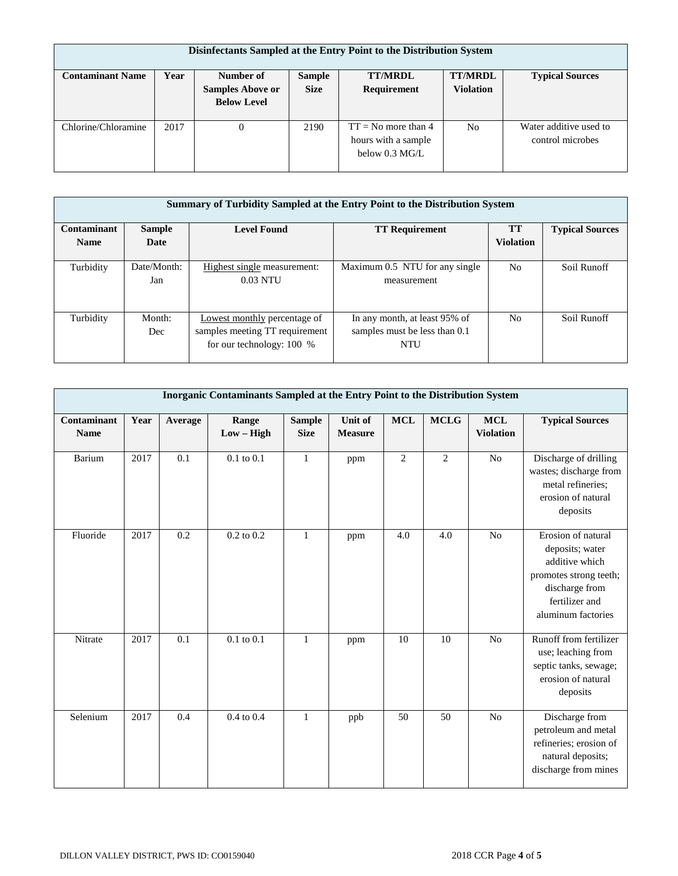| Disinfectants Sampled at the Entry Point to the Distribution System |             |                         |               |                                                                          |                  |                                            |  |  |
|---------------------------------------------------------------------|-------------|-------------------------|---------------|--------------------------------------------------------------------------|------------------|--------------------------------------------|--|--|
| <b>Contaminant Name</b>                                             | <b>Year</b> | Number of               | <b>Sample</b> | <b>TT/MRDL</b>                                                           | <b>TT/MRDL</b>   | <b>Typical Sources</b>                     |  |  |
|                                                                     |             | <b>Samples Above or</b> | <b>Size</b>   | Requirement                                                              | <b>Violation</b> |                                            |  |  |
|                                                                     |             | <b>Below Level</b>      |               |                                                                          |                  |                                            |  |  |
| Chlorine/Chloramine                                                 | 2017        | $\Omega$                | 2190          | $TT = No$ more than 4<br>hours with a sample<br>below $0.3 \text{ MG/L}$ | N <sub>0</sub>   | Water additive used to<br>control microbes |  |  |

|                    | Summary of Turbidity Sampled at the Entry Point to the Distribution System |                                                                                             |                                                                              |                  |                        |  |  |  |  |
|--------------------|----------------------------------------------------------------------------|---------------------------------------------------------------------------------------------|------------------------------------------------------------------------------|------------------|------------------------|--|--|--|--|
| <b>Contaminant</b> | <b>Sample</b>                                                              | <b>Level Found</b>                                                                          | <b>TT Requirement</b>                                                        | <b>TT</b>        | <b>Typical Sources</b> |  |  |  |  |
| <b>Name</b>        | Date                                                                       |                                                                                             |                                                                              | <b>Violation</b> |                        |  |  |  |  |
| Turbidity          | Date/Month:<br>Jan                                                         | Highest single measurement:<br>$0.03$ NTU                                                   | Maximum 0.5 NTU for any single<br>measurement                                | No.              | Soil Runoff            |  |  |  |  |
| Turbidity          | Month:<br>Dec                                                              | Lowest monthly percentage of<br>samples meeting TT requirement<br>for our technology: 100 % | In any month, at least 95% of<br>samples must be less than 0.1<br><b>NTU</b> | N <sub>o</sub>   | Soil Runoff            |  |  |  |  |

|                                   | Inorganic Contaminants Sampled at the Entry Point to the Distribution System |         |                       |                              |                           |            |                |                                |                                                                                                                                             |  |
|-----------------------------------|------------------------------------------------------------------------------|---------|-----------------------|------------------------------|---------------------------|------------|----------------|--------------------------------|---------------------------------------------------------------------------------------------------------------------------------------------|--|
| <b>Contaminant</b><br><b>Name</b> | Year                                                                         | Average | Range<br>$Low - High$ | <b>Sample</b><br><b>Size</b> | Unit of<br><b>Measure</b> | <b>MCL</b> | <b>MCLG</b>    | <b>MCL</b><br><b>Violation</b> | <b>Typical Sources</b>                                                                                                                      |  |
| Barium                            | 2017                                                                         | 0.1     | $0.1$ to $0.1$        | $\mathbf{1}$                 | ppm                       | 2          | $\overline{2}$ | N <sub>o</sub>                 | Discharge of drilling<br>wastes; discharge from<br>metal refineries;<br>erosion of natural<br>deposits                                      |  |
| Fluoride                          | 2017                                                                         | 0.2     | $0.2$ to $0.2$        | $\mathbf{1}$                 | ppm                       | 4.0        | 4.0            | No                             | Erosion of natural<br>deposits; water<br>additive which<br>promotes strong teeth;<br>discharge from<br>fertilizer and<br>aluminum factories |  |
| Nitrate                           | 2017                                                                         | 0.1     | $0.1$ to $0.1$        | $\mathbf{1}$                 | ppm                       | 10         | 10             | N <sub>o</sub>                 | Runoff from fertilizer<br>use; leaching from<br>septic tanks, sewage;<br>erosion of natural<br>deposits                                     |  |
| Selenium                          | 2017                                                                         | 0.4     | 0.4 to 0.4            | $\mathbf{1}$                 | ppb                       | 50         | 50             | N <sub>o</sub>                 | Discharge from<br>petroleum and metal<br>refineries; erosion of<br>natural deposits;<br>discharge from mines                                |  |